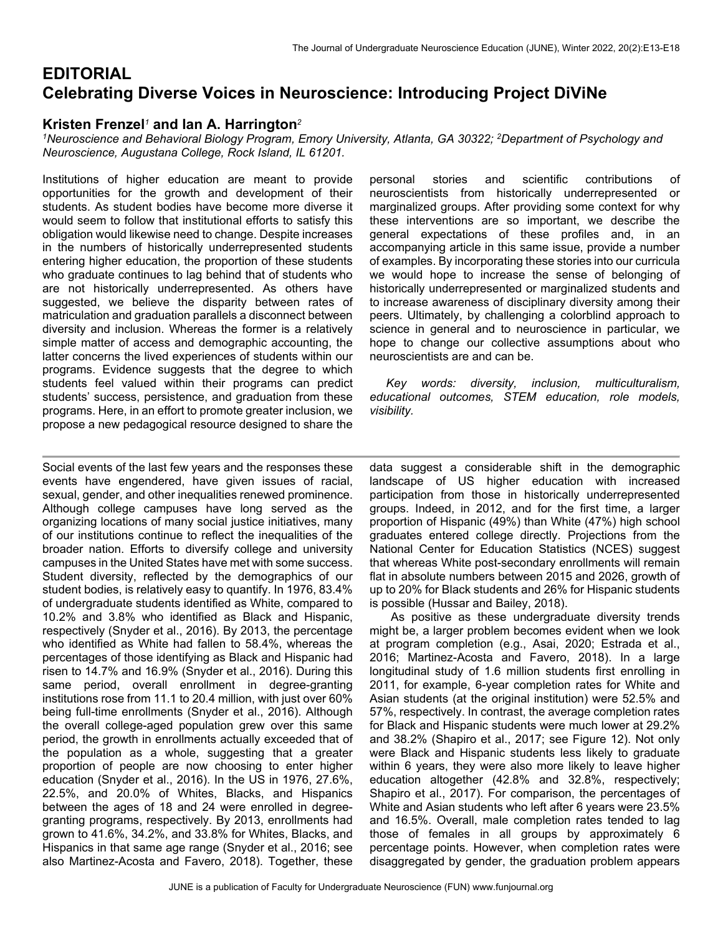# **EDITORIAL Celebrating Diverse Voices in Neuroscience: Introducing Project DiViNe**

## **Kristen Frenzel***1* **and Ian A. Harrington***<sup>2</sup>*

*1Neuroscience and Behavioral Biology Program, Emory University, Atlanta, GA 30322; 2Department of Psychology and Neuroscience, Augustana College, Rock Island, IL 61201.*

Institutions of higher education are meant to provide opportunities for the growth and development of their students. As student bodies have become more diverse it would seem to follow that institutional efforts to satisfy this obligation would likewise need to change. Despite increases in the numbers of historically underrepresented students entering higher education, the proportion of these students who graduate continues to lag behind that of students who are not historically underrepresented. As others have suggested, we believe the disparity between rates of matriculation and graduation parallels a disconnect between diversity and inclusion. Whereas the former is a relatively simple matter of access and demographic accounting, the latter concerns the lived experiences of students within our programs. Evidence suggests that the degree to which students feel valued within their programs can predict students' success, persistence, and graduation from these programs. Here, in an effort to promote greater inclusion, we propose a new pedagogical resource designed to share the

Social events of the last few years and the responses these events have engendered, have given issues of racial, sexual, gender, and other inequalities renewed prominence. Although college campuses have long served as the organizing locations of many social justice initiatives, many of our institutions continue to reflect the inequalities of the broader nation. Efforts to diversify college and university campuses in the United States have met with some success. Student diversity, reflected by the demographics of our student bodies, is relatively easy to quantify. In 1976, 83.4% of undergraduate students identified as White, compared to 10.2% and 3.8% who identified as Black and Hispanic, respectively (Snyder et al., 2016). By 2013, the percentage who identified as White had fallen to 58.4%, whereas the percentages of those identifying as Black and Hispanic had risen to 14.7% and 16.9% (Snyder et al., 2016). During this same period, overall enrollment in degree-granting institutions rose from 11.1 to 20.4 million, with just over 60% being full-time enrollments (Snyder et al., 2016). Although the overall college-aged population grew over this same period, the growth in enrollments actually exceeded that of the population as a whole, suggesting that a greater proportion of people are now choosing to enter higher education (Snyder et al., 2016). In the US in 1976, 27.6%, 22.5%, and 20.0% of Whites, Blacks, and Hispanics between the ages of 18 and 24 were enrolled in degreegranting programs, respectively. By 2013, enrollments had grown to 41.6%, 34.2%, and 33.8% for Whites, Blacks, and Hispanics in that same age range (Snyder et al., 2016; see also Martinez-Acosta and Favero, 2018). Together, these

personal stories and scientific contributions of neuroscientists from historically underrepresented or marginalized groups. After providing some context for why these interventions are so important, we describe the general expectations of these profiles and, in an accompanying article in this same issue, provide a number of examples. By incorporating these stories into our curricula we would hope to increase the sense of belonging of historically underrepresented or marginalized students and to increase awareness of disciplinary diversity among their peers. Ultimately, by challenging a colorblind approach to science in general and to neuroscience in particular, we hope to change our collective assumptions about who neuroscientists are and can be.

 *Key words: diversity, inclusion, multiculturalism, educational outcomes, STEM education, role models, visibility.*

data suggest a considerable shift in the demographic landscape of US higher education with increased participation from those in historically underrepresented groups. Indeed, in 2012, and for the first time, a larger proportion of Hispanic (49%) than White (47%) high school graduates entered college directly. Projections from the National Center for Education Statistics (NCES) suggest that whereas White post-secondary enrollments will remain flat in absolute numbers between 2015 and 2026, growth of up to 20% for Black students and 26% for Hispanic students is possible (Hussar and Bailey, 2018).

As positive as these undergraduate diversity trends might be, a larger problem becomes evident when we look at program completion (e.g., Asai, 2020; Estrada et al., 2016; Martinez-Acosta and Favero, 2018). In a large longitudinal study of 1.6 million students first enrolling in 2011, for example, 6-year completion rates for White and Asian students (at the original institution) were 52.5% and 57%, respectively. In contrast, the average completion rates for Black and Hispanic students were much lower at 29.2% and 38.2% (Shapiro et al., 2017; see Figure 12). Not only were Black and Hispanic students less likely to graduate within 6 years, they were also more likely to leave higher education altogether (42.8% and 32.8%, respectively; Shapiro et al., 2017). For comparison, the percentages of White and Asian students who left after 6 years were 23.5% and 16.5%. Overall, male completion rates tended to lag those of females in all groups by approximately 6 percentage points. However, when completion rates were disaggregated by gender, the graduation problem appears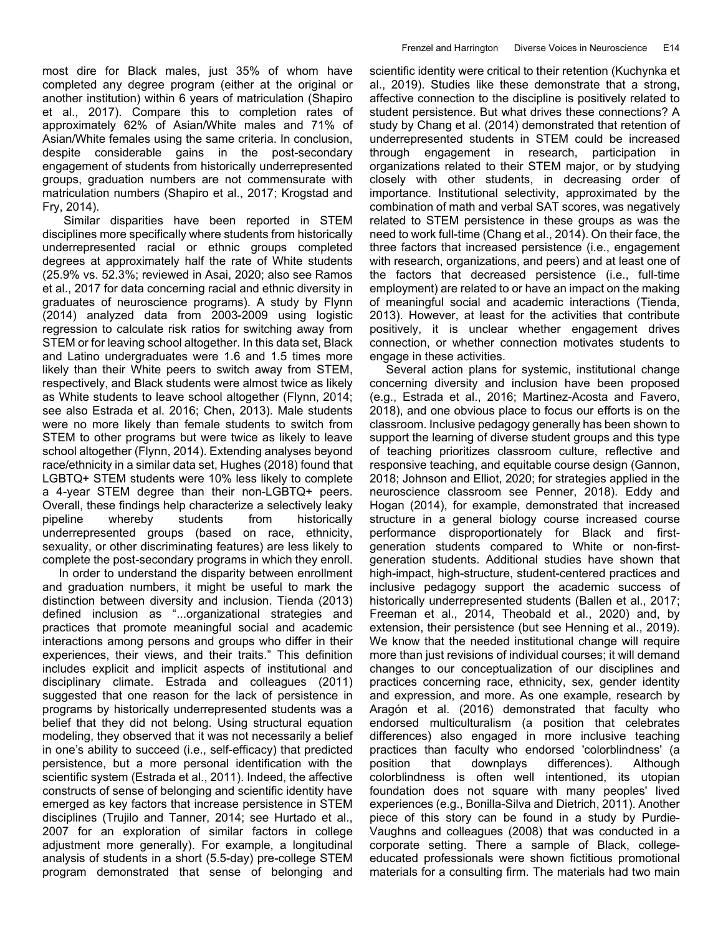most dire for Black males, just 35% of whom have completed any degree program (either at the original or another institution) within 6 years of matriculation (Shapiro et al., 2017). Compare this to completion rates of approximately 62% of Asian/White males and 71% of Asian/White females using the same criteria. In conclusion, despite considerable gains in the post-secondary engagement of students from historically underrepresented groups, graduation numbers are not commensurate with matriculation numbers (Shapiro et al., 2017; Krogstad and Fry, 2014).

Similar disparities have been reported in STEM disciplines more specifically where students from historically underrepresented racial or ethnic groups completed degrees at approximately half the rate of White students (25.9% vs. 52.3%; reviewed in Asai, 2020; also see Ramos et al., 2017 for data concerning racial and ethnic diversity in graduates of neuroscience programs). A study by Flynn (2014) analyzed data from 2003-2009 using logistic regression to calculate risk ratios for switching away from STEM or for leaving school altogether. In this data set, Black and Latino undergraduates were 1.6 and 1.5 times more likely than their White peers to switch away from STEM, respectively, and Black students were almost twice as likely as White students to leave school altogether (Flynn, 2014; see also Estrada et al. 2016; Chen, 2013). Male students were no more likely than female students to switch from STEM to other programs but were twice as likely to leave school altogether (Flynn, 2014). Extending analyses beyond race/ethnicity in a similar data set, Hughes (2018) found that LGBTQ+ STEM students were 10% less likely to complete a 4-year STEM degree than their non-LGBTQ+ peers. Overall, these findings help characterize a selectively leaky pipeline whereby students from historically underrepresented groups (based on race, ethnicity, sexuality, or other discriminating features) are less likely to complete the post-secondary programs in which they enroll.

 In order to understand the disparity between enrollment and graduation numbers, it might be useful to mark the distinction between diversity and inclusion. Tienda (2013) defined inclusion as "...organizational strategies and practices that promote meaningful social and academic interactions among persons and groups who differ in their experiences, their views, and their traits." This definition includes explicit and implicit aspects of institutional and disciplinary climate. Estrada and colleagues (2011) suggested that one reason for the lack of persistence in programs by historically underrepresented students was a belief that they did not belong. Using structural equation modeling, they observed that it was not necessarily a belief in one's ability to succeed (i.e., self-efficacy) that predicted persistence, but a more personal identification with the scientific system (Estrada et al., 2011). Indeed, the affective constructs of sense of belonging and scientific identity have emerged as key factors that increase persistence in STEM disciplines (Trujilo and Tanner, 2014; see Hurtado et al., 2007 for an exploration of similar factors in college adjustment more generally). For example, a longitudinal analysis of students in a short (5.5-day) pre-college STEM program demonstrated that sense of belonging and

scientific identity were critical to their retention (Kuchynka et al., 2019). Studies like these demonstrate that a strong, affective connection to the discipline is positively related to student persistence. But what drives these connections? A study by Chang et al. (2014) demonstrated that retention of underrepresented students in STEM could be increased through engagement in research, participation in organizations related to their STEM major, or by studying closely with other students, in decreasing order of importance. Institutional selectivity, approximated by the combination of math and verbal SAT scores, was negatively related to STEM persistence in these groups as was the need to work full-time (Chang et al., 2014). On their face, the three factors that increased persistence (i.e., engagement with research, organizations, and peers) and at least one of the factors that decreased persistence (i.e., full-time employment) are related to or have an impact on the making of meaningful social and academic interactions (Tienda, 2013). However, at least for the activities that contribute positively, it is unclear whether engagement drives connection, or whether connection motivates students to engage in these activities.

 Several action plans for systemic, institutional change concerning diversity and inclusion have been proposed (e.g., Estrada et al., 2016; Martinez-Acosta and Favero, 2018), and one obvious place to focus our efforts is on the classroom. Inclusive pedagogy generally has been shown to support the learning of diverse student groups and this type of teaching prioritizes classroom culture, reflective and responsive teaching, and equitable course design (Gannon, 2018; Johnson and Elliot, 2020; for strategies applied in the neuroscience classroom see Penner, 2018). Eddy and Hogan (2014), for example, demonstrated that increased structure in a general biology course increased course performance disproportionately for Black and firstgeneration students compared to White or non-firstgeneration students. Additional studies have shown that high-impact, high-structure, student-centered practices and inclusive pedagogy support the academic success of historically underrepresented students (Ballen et al., 2017; Freeman et al., 2014, Theobald et al., 2020) and, by extension, their persistence (but see Henning et al., 2019). We know that the needed institutional change will require more than just revisions of individual courses; it will demand changes to our conceptualization of our disciplines and practices concerning race, ethnicity, sex, gender identity and expression, and more. As one example, research by Aragón et al. (2016) demonstrated that faculty who endorsed multiculturalism (a position that celebrates differences) also engaged in more inclusive teaching practices than faculty who endorsed 'colorblindness' (a position that downplays differences). Although colorblindness is often well intentioned, its utopian foundation does not square with many peoples' lived experiences (e.g., Bonilla-Silva and Dietrich, 2011). Another piece of this story can be found in a study by Purdie-Vaughns and colleagues (2008) that was conducted in a corporate setting. There a sample of Black, collegeeducated professionals were shown fictitious promotional materials for a consulting firm. The materials had two main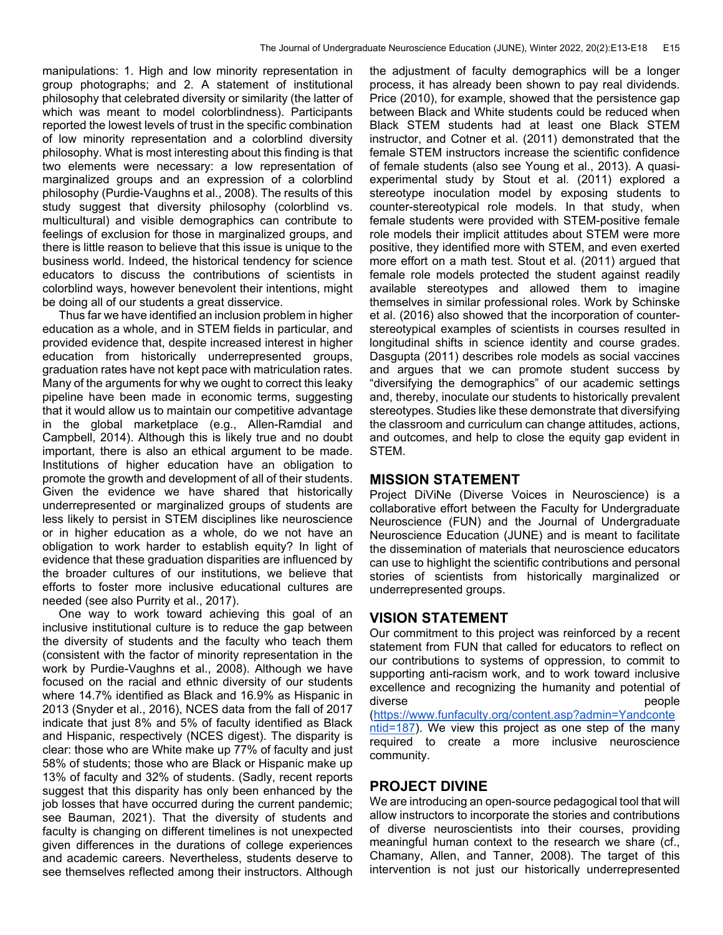manipulations: 1. High and low minority representation in group photographs; and 2. A statement of institutional philosophy that celebrated diversity or similarity (the latter of which was meant to model colorblindness). Participants reported the lowest levels of trust in the specific combination of low minority representation and a colorblind diversity philosophy. What is most interesting about this finding is that two elements were necessary: a low representation of marginalized groups and an expression of a colorblind philosophy (Purdie-Vaughns et al., 2008). The results of this study suggest that diversity philosophy (colorblind vs. multicultural) and visible demographics can contribute to feelings of exclusion for those in marginalized groups, and there is little reason to believe that this issue is unique to the business world. Indeed, the historical tendency for science educators to discuss the contributions of scientists in colorblind ways, however benevolent their intentions, might be doing all of our students a great disservice.

 Thus far we have identified an inclusion problem in higher education as a whole, and in STEM fields in particular, and provided evidence that, despite increased interest in higher education from historically underrepresented groups, graduation rates have not kept pace with matriculation rates. Many of the arguments for why we ought to correct this leaky pipeline have been made in economic terms, suggesting that it would allow us to maintain our competitive advantage in the global marketplace (e.g., Allen-Ramdial and Campbell, 2014). Although this is likely true and no doubt important, there is also an ethical argument to be made. Institutions of higher education have an obligation to promote the growth and development of all of their students. Given the evidence we have shared that historically underrepresented or marginalized groups of students are less likely to persist in STEM disciplines like neuroscience or in higher education as a whole, do we not have an obligation to work harder to establish equity? In light of evidence that these graduation disparities are influenced by the broader cultures of our institutions, we believe that efforts to foster more inclusive educational cultures are needed (see also Purrity et al., 2017).

 One way to work toward achieving this goal of an inclusive institutional culture is to reduce the gap between the diversity of students and the faculty who teach them (consistent with the factor of minority representation in the work by Purdie-Vaughns et al., 2008). Although we have focused on the racial and ethnic diversity of our students where 14.7% identified as Black and 16.9% as Hispanic in 2013 (Snyder et al., 2016), NCES data from the fall of 2017 indicate that just 8% and 5% of faculty identified as Black and Hispanic, respectively (NCES digest). The disparity is clear: those who are White make up 77% of faculty and just 58% of students; those who are Black or Hispanic make up 13% of faculty and 32% of students. (Sadly, recent reports suggest that this disparity has only been enhanced by the job losses that have occurred during the current pandemic; see Bauman, 2021). That the diversity of students and faculty is changing on different timelines is not unexpected given differences in the durations of college experiences and academic careers. Nevertheless, students deserve to see themselves reflected among their instructors. Although

the adjustment of faculty demographics will be a longer process, it has already been shown to pay real dividends. Price (2010), for example, showed that the persistence gap between Black and White students could be reduced when Black STEM students had at least one Black STEM instructor, and Cotner et al. (2011) demonstrated that the female STEM instructors increase the scientific confidence of female students (also see Young et al., 2013). A quasiexperimental study by Stout et al. (2011) explored a stereotype inoculation model by exposing students to counter-stereotypical role models. In that study, when female students were provided with STEM-positive female role models their implicit attitudes about STEM were more positive, they identified more with STEM, and even exerted more effort on a math test. Stout et al. (2011) argued that female role models protected the student against readily available stereotypes and allowed them to imagine themselves in similar professional roles. Work by Schinske et al. (2016) also showed that the incorporation of counterstereotypical examples of scientists in courses resulted in longitudinal shifts in science identity and course grades. Dasgupta (2011) describes role models as social vaccines and argues that we can promote student success by "diversifying the demographics" of our academic settings and, thereby, inoculate our students to historically prevalent stereotypes. Studies like these demonstrate that diversifying the classroom and curriculum can change attitudes, actions, and outcomes, and help to close the equity gap evident in STEM.

### **MISSION STATEMENT**

Project DiViNe (Diverse Voices in Neuroscience) is a collaborative effort between the Faculty for Undergraduate Neuroscience (FUN) and the Journal of Undergraduate Neuroscience Education (JUNE) and is meant to facilitate the dissemination of materials that neuroscience educators can use to highlight the scientific contributions and personal stories of scientists from historically marginalized or underrepresented groups.

## **VISION STATEMENT**

Our commitment to this project was reinforced by a recent statement from FUN that called for educators to reflect on our contributions to systems of oppression, to commit to supporting anti-racism work, and to work toward inclusive excellence and recognizing the humanity and potential of diverse **people** (https://www.funfaculty.org/content.asp?admin=Yandconte ntid=187). We view this project as one step of the many required to create a more inclusive neuroscience community.

## **PROJECT DIVINE**

We are introducing an open-source pedagogical tool that will allow instructors to incorporate the stories and contributions of diverse neuroscientists into their courses, providing meaningful human context to the research we share (cf., Chamany, Allen, and Tanner, 2008). The target of this intervention is not just our historically underrepresented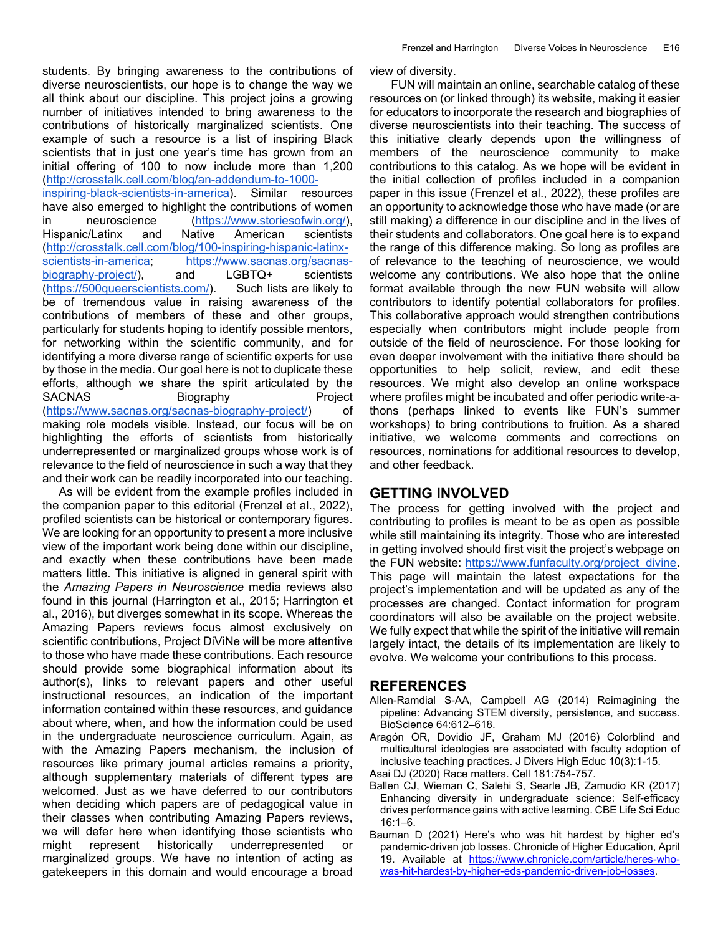students. By bringing awareness to the contributions of diverse neuroscientists, our hope is to change the way we all think about our discipline. This project joins a growing number of initiatives intended to bring awareness to the contributions of historically marginalized scientists. One example of such a resource is a list of inspiring Black scientists that in just one year's time has grown from an initial offering of 100 to now include more than 1,200 (http://crosstalk.cell.com/blog/an-addendum-to-1000-

inspiring-black-scientists-in-america). Similar resources have also emerged to highlight the contributions of women in neuroscience (https://www.storiesofwin.org/), Hispanic/Latinx and Native American scientists (http://crosstalk.cell.com/blog/100-inspiring-hispanic-latinxscientists-in-america; https://www.sacnas.org/sacnasbiography-project/), and LGBTQ+ scientists (https://500queerscientists.com/). Such lists are likely to be of tremendous value in raising awareness of the contributions of members of these and other groups, particularly for students hoping to identify possible mentors, for networking within the scientific community, and for identifying a more diverse range of scientific experts for use by those in the media. Our goal here is not to duplicate these efforts, although we share the spirit articulated by the SACNAS Biography Project (https://www.sacnas.org/sacnas-biography-project/) of making role models visible. Instead, our focus will be on highlighting the efforts of scientists from historically underrepresented or marginalized groups whose work is of relevance to the field of neuroscience in such a way that they and their work can be readily incorporated into our teaching.

 As will be evident from the example profiles included in the companion paper to this editorial (Frenzel et al., 2022), profiled scientists can be historical or contemporary figures. We are looking for an opportunity to present a more inclusive view of the important work being done within our discipline, and exactly when these contributions have been made matters little. This initiative is aligned in general spirit with the *Amazing Papers in Neuroscience* media reviews also found in this journal (Harrington et al., 2015; Harrington et al., 2016), but diverges somewhat in its scope. Whereas the Amazing Papers reviews focus almost exclusively on scientific contributions, Project DiViNe will be more attentive to those who have made these contributions. Each resource should provide some biographical information about its author(s), links to relevant papers and other useful instructional resources, an indication of the important information contained within these resources, and guidance about where, when, and how the information could be used in the undergraduate neuroscience curriculum. Again, as with the Amazing Papers mechanism, the inclusion of resources like primary journal articles remains a priority, although supplementary materials of different types are welcomed. Just as we have deferred to our contributors when deciding which papers are of pedagogical value in their classes when contributing Amazing Papers reviews, we will defer here when identifying those scientists who might represent historically underrepresented or marginalized groups. We have no intention of acting as gatekeepers in this domain and would encourage a broad view of diversity.

FUN will maintain an online, searchable catalog of these resources on (or linked through) its website, making it easier for educators to incorporate the research and biographies of diverse neuroscientists into their teaching. The success of this initiative clearly depends upon the willingness of members of the neuroscience community to make contributions to this catalog. As we hope will be evident in the initial collection of profiles included in a companion paper in this issue (Frenzel et al., 2022), these profiles are an opportunity to acknowledge those who have made (or are still making) a difference in our discipline and in the lives of their students and collaborators. One goal here is to expand the range of this difference making. So long as profiles are of relevance to the teaching of neuroscience, we would welcome any contributions. We also hope that the online format available through the new FUN website will allow contributors to identify potential collaborators for profiles. This collaborative approach would strengthen contributions especially when contributors might include people from outside of the field of neuroscience. For those looking for even deeper involvement with the initiative there should be opportunities to help solicit, review, and edit these resources. We might also develop an online workspace where profiles might be incubated and offer periodic write-athons (perhaps linked to events like FUN's summer workshops) to bring contributions to fruition. As a shared initiative, we welcome comments and corrections on resources, nominations for additional resources to develop, and other feedback.

### **GETTING INVOLVED**

The process for getting involved with the project and contributing to profiles is meant to be as open as possible while still maintaining its integrity. Those who are interested in getting involved should first visit the project's webpage on the FUN website: https://www.funfaculty.org/project\_divine. This page will maintain the latest expectations for the project's implementation and will be updated as any of the processes are changed. Contact information for program coordinators will also be available on the project website. We fully expect that while the spirit of the initiative will remain largely intact, the details of its implementation are likely to evolve. We welcome your contributions to this process.

### **REFERENCES**

- Allen-Ramdial S-AA, Campbell AG (2014) Reimagining the pipeline: Advancing STEM diversity, persistence, and success. BioScience 64:612–618.
- Aragón OR, Dovidio JF, Graham MJ (2016) Colorblind and multicultural ideologies are associated with faculty adoption of inclusive teaching practices. J Divers High Educ 10(3):1-15.
- Asai DJ (2020) Race matters. Cell 181:754-757.
- Ballen CJ, Wieman C, Salehi S, Searle JB, Zamudio KR (2017) Enhancing diversity in undergraduate science: Self-efficacy drives performance gains with active learning. CBE Life Sci Educ 16:1–6.
- Bauman D (2021) Here's who was hit hardest by higher ed's pandemic-driven job losses. Chronicle of Higher Education, April 19. Available at https://www.chronicle.com/article/heres-whowas-hit-hardest-by-higher-eds-pandemic-driven-job-losses.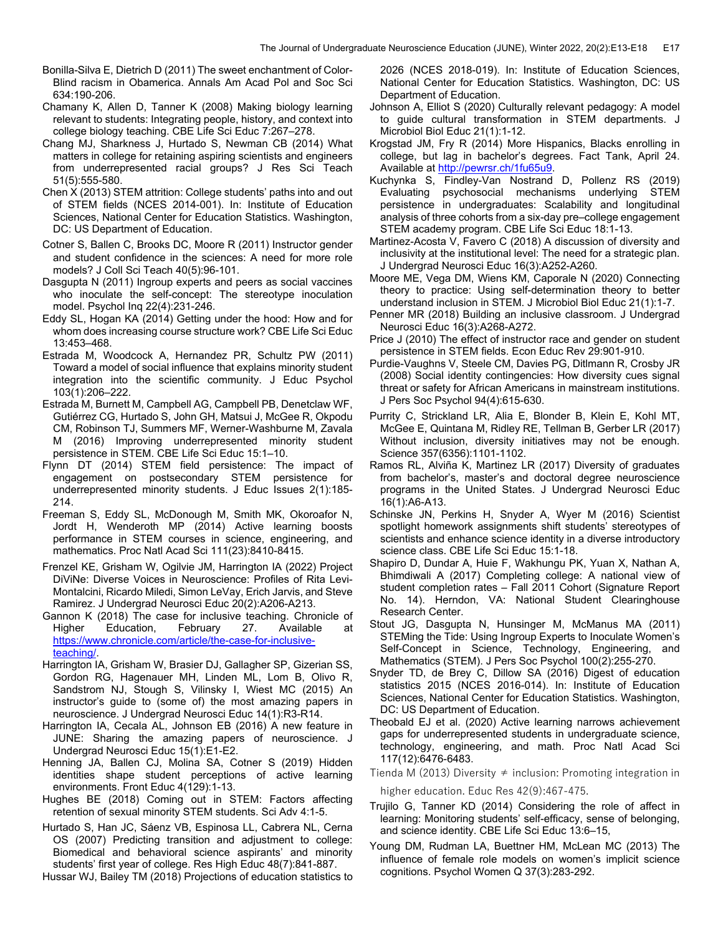Bonilla-Silva E, Dietrich D (2011) The sweet enchantment of Color-Blind racism in Obamerica. Annals Am Acad Pol and Soc Sci 634:190-206.

Chamany K, Allen D, Tanner K (2008) Making biology learning relevant to students: Integrating people, history, and context into college biology teaching. CBE Life Sci Educ 7:267–278.

Chang MJ, Sharkness J, Hurtado S, Newman CB (2014) What matters in college for retaining aspiring scientists and engineers from underrepresented racial groups? J Res Sci Teach 51(5):555-580.

Chen X (2013) STEM attrition: College students' paths into and out of STEM fields (NCES 2014-001). In: Institute of Education Sciences, National Center for Education Statistics. Washington, DC: US Department of Education.

Cotner S, Ballen C, Brooks DC, Moore R (2011) Instructor gender and student confidence in the sciences: A need for more role models? J Coll Sci Teach 40(5):96-101.

Dasgupta N (2011) Ingroup experts and peers as social vaccines who inoculate the self-concept: The stereotype inoculation model. Psychol Inq 22(4):231-246.

Eddy SL, Hogan KA (2014) Getting under the hood: How and for whom does increasing course structure work? CBE Life Sci Educ 13:453–468.

Estrada M, Woodcock A, Hernandez PR, Schultz PW (2011) Toward a model of social influence that explains minority student integration into the scientific community. J Educ Psychol 103(1):206–222.

Estrada M, Burnett M, Campbell AG, Campbell PB, Denetclaw WF, Gutiérrez CG, Hurtado S, John GH, Matsui J, McGee R, Okpodu CM, Robinson TJ, Summers MF, Werner-Washburne M, Zavala M (2016) Improving underrepresented minority student persistence in STEM. CBE Life Sci Educ 15:1–10.

Flynn DT (2014) STEM field persistence: The impact of engagement on postsecondary STEM persistence for underrepresented minority students. J Educ Issues 2(1):185- 214.

Freeman S, Eddy SL, McDonough M, Smith MK, Okoroafor N, Jordt H, Wenderoth MP (2014) Active learning boosts performance in STEM courses in science, engineering, and mathematics. Proc Natl Acad Sci 111(23):8410-8415.

Frenzel KE, Grisham W, Ogilvie JM, Harrington IA (2022) Project DiViNe: Diverse Voices in Neuroscience: Profiles of Rita Levi-Montalcini, Ricardo Miledi, Simon LeVay, Erich Jarvis, and Steve Ramirez. J Undergrad Neurosci Educ 20(2):A206-A213.

Gannon K (2018) The case for inclusive teaching. Chronicle of Higher Education, February 27. Available at https://www.chronicle.com/article/the-case-for-inclusiveteaching/.

Harrington IA, Grisham W, Brasier DJ, Gallagher SP, Gizerian SS, Gordon RG, Hagenauer MH, Linden ML, Lom B, Olivo R, Sandstrom NJ, Stough S, Vilinsky I, Wiest MC (2015) An instructor's guide to (some of) the most amazing papers in neuroscience. J Undergrad Neurosci Educ 14(1):R3-R14.

Harrington IA, Cecala AL, Johnson EB (2016) A new feature in JUNE: Sharing the amazing papers of neuroscience. J Undergrad Neurosci Educ 15(1):E1-E2.

Henning JA, Ballen CJ, Molina SA, Cotner S (2019) Hidden identities shape student perceptions of active learning environments. Front Educ 4(129):1-13.

Hughes BE (2018) Coming out in STEM: Factors affecting retention of sexual minority STEM students. Sci Adv 4:1-5.

Hurtado S, Han JC, Sáenz VB, Espinosa LL, Cabrera NL, Cerna OS (2007) Predicting transition and adjustment to college: Biomedical and behavioral science aspirants' and minority students' first year of college. Res High Educ 48(7):841-887.

Hussar WJ, Bailey TM (2018) Projections of education statistics to

2026 (NCES 2018-019). In: Institute of Education Sciences, National Center for Education Statistics. Washington, DC: US Department of Education.

Johnson A, Elliot S (2020) Culturally relevant pedagogy: A model to guide cultural transformation in STEM departments. J Microbiol Biol Educ 21(1):1-12.

Krogstad JM, Fry R (2014) More Hispanics, Blacks enrolling in college, but lag in bachelor's degrees. Fact Tank, April 24. Available at http://pewrsr.ch/1fu65u9.

Kuchynka S, Findley-Van Nostrand D, Pollenz RS (2019) Evaluating psychosocial mechanisms underlying STEM persistence in undergraduates: Scalability and longitudinal analysis of three cohorts from a six-day pre–college engagement STEM academy program. CBE Life Sci Educ 18:1-13.

Martinez-Acosta V, Favero C (2018) A discussion of diversity and inclusivity at the institutional level: The need for a strategic plan. J Undergrad Neurosci Educ 16(3):A252-A260.

Moore ME, Vega DM, Wiens KM, Caporale N (2020) Connecting theory to practice: Using self-determination theory to better understand inclusion in STEM. J Microbiol Biol Educ 21(1):1-7.

Penner MR (2018) Building an inclusive classroom. J Undergrad Neurosci Educ 16(3):A268-A272.

Price J (2010) The effect of instructor race and gender on student persistence in STEM fields. Econ Educ Rev 29:901-910.

Purdie-Vaughns V, Steele CM, Davies PG, Ditlmann R, Crosby JR (2008) Social identity contingencies: How diversity cues signal threat or safety for African Americans in mainstream institutions. J Pers Soc Psychol 94(4):615-630.

Purrity C, Strickland LR, Alia E, Blonder B, Klein E, Kohl MT, McGee E, Quintana M, Ridley RE, Tellman B, Gerber LR (2017) Without inclusion, diversity initiatives may not be enough. Science 357(6356):1101-1102.

Ramos RL, Alviña K, Martinez LR (2017) Diversity of graduates from bachelor's, master's and doctoral degree neuroscience programs in the United States. J Undergrad Neurosci Educ 16(1):A6-A13.

Schinske JN, Perkins H, Snyder A, Wyer M (2016) Scientist spotlight homework assignments shift students' stereotypes of scientists and enhance science identity in a diverse introductory science class. CBE Life Sci Educ 15:1-18.

Shapiro D, Dundar A, Huie F, Wakhungu PK, Yuan X, Nathan A, Bhimdiwali A (2017) Completing college: A national view of student completion rates – Fall 2011 Cohort (Signature Report No. 14). Herndon, VA: National Student Clearinghouse Research Center.

Stout JG, Dasgupta N, Hunsinger M, McManus MA (2011) STEMing the Tide: Using Ingroup Experts to Inoculate Women's Self-Concept in Science, Technology, Engineering, and Mathematics (STEM). J Pers Soc Psychol 100(2):255-270.

Snyder TD, de Brey C, Dillow SA (2016) Digest of education statistics 2015 (NCES 2016-014). In: Institute of Education Sciences, National Center for Education Statistics. Washington, DC: US Department of Education.

Theobald EJ et al. (2020) Active learning narrows achievement gaps for underrepresented students in undergraduate science, technology, engineering, and math. Proc Natl Acad Sci 117(12):6476-6483.

Tienda M (2013) Diversity  $\neq$  inclusion: Promoting integration in higher education. Educ Res 42(9):467-475.

Trujilo G, Tanner KD (2014) Considering the role of affect in learning: Monitoring students' self-efficacy, sense of belonging, and science identity. CBE Life Sci Educ 13:6–15,

Young DM, Rudman LA, Buettner HM, McLean MC (2013) The influence of female role models on women's implicit science cognitions. Psychol Women Q 37(3):283-292.